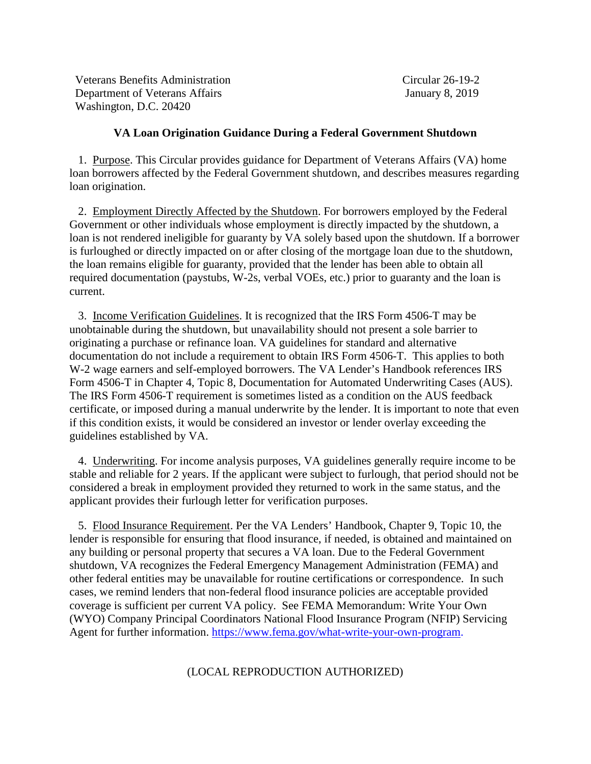Department of Veterans Affairs January 8, 2019 Veterans Benefits Administration Washington, D.C. 20420

Circular 26-19-2

## **VA Loan Origination Guidance During a Federal Government Shutdown**

1. Purpose. This Circular provides guidance for Department of Veterans Affairs (VA) home loan borrowers affected by the Federal Government shutdown, and describes measures regarding loan origination.

 loan is not rendered ineligible for guaranty by VA solely based upon the shutdown. If a borrower 2. Employment Directly Affected by the Shutdown. For borrowers employed by the Federal Government or other individuals whose employment is directly impacted by the shutdown, a is furloughed or directly impacted on or after closing of the mortgage loan due to the shutdown, the loan remains eligible for guaranty, provided that the lender has been able to obtain all required documentation (paystubs, W-2s, verbal VOEs, etc.) prior to guaranty and the loan is current.

 originating a purchase or refinance loan. VA guidelines for standard and alternative guidelines established by VA. 3. Income Verification Guidelines. It is recognized that the IRS Form 4506-T may be unobtainable during the shutdown, but unavailability should not present a sole barrier to documentation do not include a requirement to obtain IRS Form 4506-T. This applies to both W-2 wage earners and self-employed borrowers. The VA Lender's Handbook references IRS Form 4506-T in Chapter 4, Topic 8, Documentation for Automated Underwriting Cases (AUS). The IRS Form 4506-T requirement is sometimes listed as a condition on the AUS feedback certificate, or imposed during a manual underwrite by the lender. It is important to note that even if this condition exists, it would be considered an investor or lender overlay exceeding the

 considered a break in employment provided they returned to work in the same status, and the 4. Underwriting. For income analysis purposes, VA guidelines generally require income to be stable and reliable for 2 years. If the applicant were subject to furlough, that period should not be applicant provides their furlough letter for verification purposes.

Agent for further information. <u>https://www.fema.gov/what-write-your-own-program</u>.<br>(LOCAL REPRODUCTION AUTHORIZED) 5. Flood Insurance Requirement. Per the VA Lenders' Handbook, Chapter 9, Topic 10, the lender is responsible for ensuring that flood insurance, if needed, is obtained and maintained on any building or personal property that secures a VA loan. Due to the Federal Government shutdown, VA recognizes the Federal Emergency Management Administration (FEMA) and other federal entities may be unavailable for routine certifications or correspondence. In such cases, we remind lenders that non-federal flood insurance policies are acceptable provided coverage is sufficient per current VA policy. See FEMA Memorandum: Write Your Own (WYO) Company Principal Coordinators National Flood Insurance Program (NFIP) Servicing